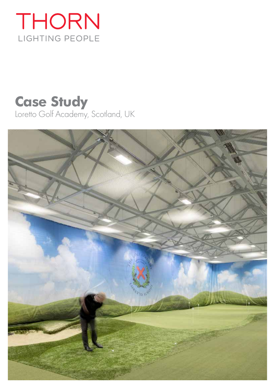## THORN LIGHTING PEOPLE

# **Case Study**